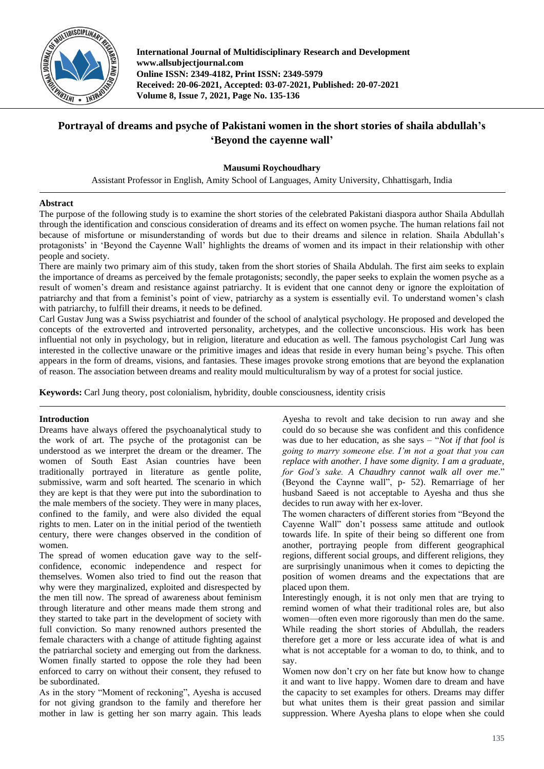

**International Journal of Multidisciplinary Research and Development www.allsubjectjournal.com Online ISSN: 2349-4182, Print ISSN: 2349-5979 Received: 20-06-2021, Accepted: 03-07-2021, Published: 20-07-2021 Volume 8, Issue 7, 2021, Page No. 135-136**

## **Portrayal of dreams and psyche of Pakistani women in the short stories of shaila abdullah's 'Beyond the cayenne wall'**

**Mausumi Roychoudhary**

Assistant Professor in English, Amity School of Languages, Amity University, Chhattisgarh, India

## **Abstract**

The purpose of the following study is to examine the short stories of the celebrated Pakistani diaspora author Shaila Abdullah through the identification and conscious consideration of dreams and its effect on women psyche. The human relations fail not because of misfortune or misunderstanding of words but due to their dreams and silence in relation. Shaila Abdullah's protagonists' in 'Beyond the Cayenne Wall' highlights the dreams of women and its impact in their relationship with other people and society.

There are mainly two primary aim of this study, taken from the short stories of Shaila Abdulah. The first aim seeks to explain the importance of dreams as perceived by the female protagonists; secondly, the paper seeks to explain the women psyche as a result of women's dream and resistance against patriarchy. It is evident that one cannot deny or ignore the exploitation of patriarchy and that from a feminist's point of view, patriarchy as a system is essentially evil. To understand women's clash with patriarchy, to fulfill their dreams, it needs to be defined.

Carl Gustav Jung was a Swiss psychiatrist and founder of the school of analytical psychology. He proposed and developed the concepts of the extroverted and introverted personality, archetypes, and the collective unconscious. His work has been influential not only in psychology, but in religion, literature and education as well. The famous psychologist Carl Jung was interested in the collective unaware or the primitive images and ideas that reside in every human being's psyche. This often appears in the form of dreams, visions, and fantasies. These images provoke strong emotions that are beyond the explanation of reason. The association between dreams and reality mould multiculturalism by way of a protest for social justice.

**Keywords:** Carl Jung theory, post colonialism, hybridity, double consciousness, identity crisis

## **Introduction**

Dreams have always offered the psychoanalytical study to the work of art. The psyche of the protagonist can be understood as we interpret the dream or the dreamer. The women of South East Asian countries have been traditionally portrayed in literature as gentle polite, submissive, warm and soft hearted. The scenario in which they are kept is that they were put into the subordination to the male members of the society. They were in many places, confined to the family, and were also divided the equal rights to men. Later on in the initial period of the twentieth century, there were changes observed in the condition of women.

The spread of women education gave way to the selfconfidence, economic independence and respect for themselves. Women also tried to find out the reason that why were they marginalized, exploited and disrespected by the men till now. The spread of awareness about feminism through literature and other means made them strong and they started to take part in the development of society with full conviction. So many renowned authors presented the female characters with a change of attitude fighting against the patriarchal society and emerging out from the darkness. Women finally started to oppose the role they had been enforced to carry on without their consent, they refused to be subordinated.

As in the story "Moment of reckoning", Ayesha is accused for not giving grandson to the family and therefore her mother in law is getting her son marry again. This leads

Ayesha to revolt and take decision to run away and she could do so because she was confident and this confidence was due to her education, as she says – "*Not if that fool is going to marry someone else. I'm not a goat that you can replace with another. I have some dignity. I am a graduate, for God's sake. A Chaudhry cannot walk all over me*." (Beyond the Caynne wall", p- 52). Remarriage of her husband Saeed is not acceptable to Ayesha and thus she decides to run away with her ex-lover.

The women characters of different stories from "Beyond the Cayenne Wall" don't possess same attitude and outlook towards life. In spite of their being so different one from another, portraying people from different geographical regions, different social groups, and different religions, they are surprisingly unanimous when it comes to depicting the position of women dreams and the expectations that are placed upon them.

Interestingly enough, it is not only men that are trying to remind women of what their traditional roles are, but also women—often even more rigorously than men do the same. While reading the short stories of Abdullah, the readers therefore get a more or less accurate idea of what is and what is not acceptable for a woman to do, to think, and to say.

Women now don't cry on her fate but know how to change it and want to live happy. Women dare to dream and have the capacity to set examples for others. Dreams may differ but what unites them is their great passion and similar suppression. Where Ayesha plans to elope when she could